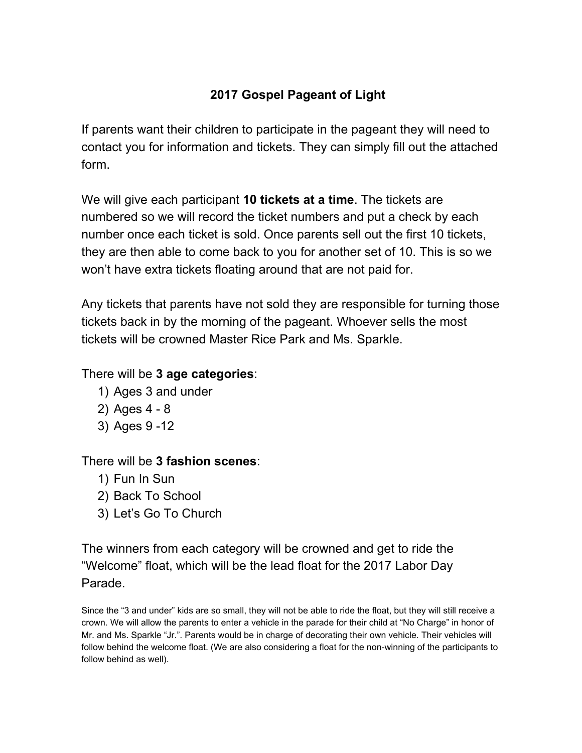## **2017 Gospel Pageant of Light**

If parents want their children to participate in the pageant they will need to contact you for information and tickets. They can simply fill out the attached form.

We will give each participant **10 tickets at a time**. The tickets are numbered so we will record the ticket numbers and put a check by each number once each ticket is sold. Once parents sell out the first 10 tickets, they are then able to come back to you for another set of 10. This is so we won't have extra tickets floating around that are not paid for.

Any tickets that parents have not sold they are responsible for turning those tickets back in by the morning of the pageant. Whoever sells the most tickets will be crowned Master Rice Park and Ms. Sparkle.

## There will be **3 age categories**:

- 1) Ages 3 and under
- 2) Ages 4 8
- 3) Ages 9 -12

## There will be **3 fashion scenes**:

- 1) Fun In Sun
- 2) Back To School
- 3) Let's Go To Church

The winners from each category will be crowned and get to ride the "Welcome" float, which will be the lead float for the 2017 Labor Day Parade.

Since the "3 and under" kids are so small, they will not be able to ride the float, but they will still receive a crown. We will allow the parents to enter a vehicle in the parade for their child at "No Charge" in honor of Mr. and Ms. Sparkle "Jr.". Parents would be in charge of decorating their own vehicle. Their vehicles will follow behind the welcome float. (We are also considering a float for the non-winning of the participants to follow behind as well).